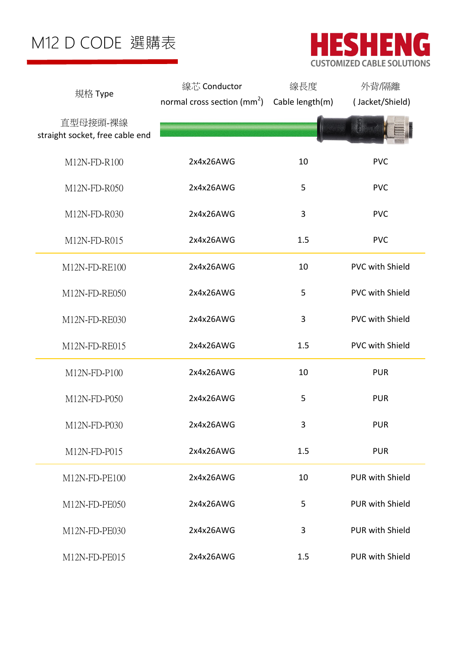

|                                             | 線芯 Conductor                            | 線長度             | 外背/隔離                  |
|---------------------------------------------|-----------------------------------------|-----------------|------------------------|
| 規格 Type                                     | normal cross section (mm <sup>2</sup> ) | Cable length(m) | (Jacket/Shield)        |
| 直型母接頭-裸線<br>straight socket, free cable end |                                         |                 |                        |
| M12N-FD-R100                                | 2x4x26AWG                               | 10              | <b>PVC</b>             |
| M12N-FD-R050                                | 2x4x26AWG                               | 5               | <b>PVC</b>             |
| M12N-FD-R030                                | 2x4x26AWG                               | 3               | <b>PVC</b>             |
| M12N-FD-R015                                | 2x4x26AWG                               | 1.5             | <b>PVC</b>             |
| M12N-FD-RE100                               | 2x4x26AWG                               | 10              | <b>PVC with Shield</b> |
| M12N-FD-RE050                               | 2x4x26AWG                               | 5               | <b>PVC with Shield</b> |
| M12N-FD-RE030                               | 2x4x26AWG                               | 3               | <b>PVC with Shield</b> |
| M12N-FD-RE015                               | 2x4x26AWG                               | 1.5             | <b>PVC with Shield</b> |
| M12N-FD-P100                                | 2x4x26AWG                               | 10              | <b>PUR</b>             |
| M12N-FD-P050                                | 2x4x26AWG                               | 5               | <b>PUR</b>             |
| M12N-FD-P030                                | 2x4x26AWG                               | 3               | <b>PUR</b>             |
| M12N-FD-P015                                | 2x4x26AWG                               | 1.5             | <b>PUR</b>             |
| M12N-FD-PE100                               | 2x4x26AWG                               | 10              | PUR with Shield        |
| M12N-FD-PE050                               | 2x4x26AWG                               | 5               | <b>PUR with Shield</b> |
| M12N-FD-PE030                               | 2x4x26AWG                               | 3               | <b>PUR with Shield</b> |
| M12N-FD-PE015                               | 2x4x26AWG                               | 1.5             | <b>PUR with Shield</b> |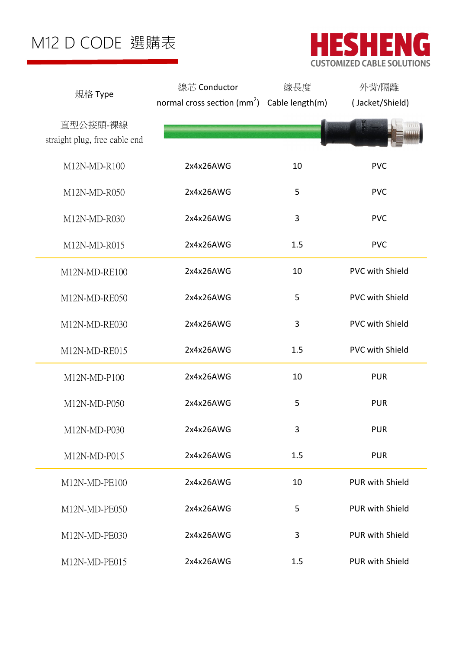

|                                           | 線芯 Conductor                                            | 線長度 | 外背/隔離                  |
|-------------------------------------------|---------------------------------------------------------|-----|------------------------|
| 規格 Type                                   | normal cross section (mm <sup>2</sup> ) Cable length(m) |     | (Jacket/Shield)        |
| 直型公接頭-裸線<br>straight plug, free cable end |                                                         |     |                        |
| M12N-MD-R100                              | 2x4x26AWG                                               | 10  | <b>PVC</b>             |
| M12N-MD-R050                              | 2x4x26AWG                                               | 5   | <b>PVC</b>             |
| M12N-MD-R030                              | 2x4x26AWG                                               | 3   | <b>PVC</b>             |
| M12N-MD-R015                              | 2x4x26AWG                                               | 1.5 | <b>PVC</b>             |
| M12N-MD-RE100                             | 2x4x26AWG                                               | 10  | <b>PVC with Shield</b> |
| M12N-MD-RE050                             | 2x4x26AWG                                               | 5   | <b>PVC with Shield</b> |
| M12N-MD-RE030                             | 2x4x26AWG                                               | 3   | <b>PVC with Shield</b> |
| M12N-MD-RE015                             | 2x4x26AWG                                               | 1.5 | <b>PVC with Shield</b> |
| M12N-MD-P100                              | 2x4x26AWG                                               | 10  | <b>PUR</b>             |
| M12N-MD-P050                              | 2x4x26AWG                                               | 5   | <b>PUR</b>             |
| M12N-MD-P030                              | 2x4x26AWG                                               | 3   | <b>PUR</b>             |
| M12N-MD-P015                              | 2x4x26AWG                                               | 1.5 | <b>PUR</b>             |
| M12N-MD-PE100                             | 2x4x26AWG                                               | 10  | <b>PUR with Shield</b> |
| M12N-MD-PE050                             | 2x4x26AWG                                               | 5   | <b>PUR with Shield</b> |
| M12N-MD-PE030                             | 2x4x26AWG                                               | 3   | PUR with Shield        |
| M12N-MD-PE015                             | 2x4x26AWG                                               | 1.5 | PUR with Shield        |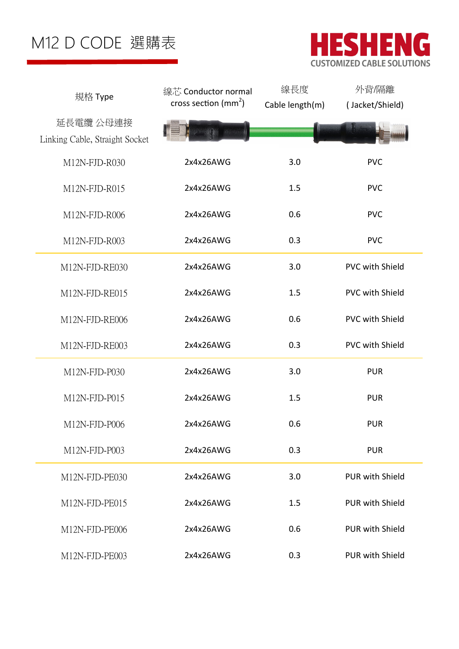

| 規格 Type                        | 線芯 Conductor normal              | 線長度             | 外背/隔離                  |
|--------------------------------|----------------------------------|-----------------|------------------------|
|                                | cross section (mm <sup>2</sup> ) | Cable length(m) | (Jacket/Shield)        |
| 延長電纜 公母連接                      |                                  |                 |                        |
| Linking Cable, Straight Socket |                                  |                 |                        |
| M12N-FJD-R030                  | 2x4x26AWG                        | 3.0             | <b>PVC</b>             |
| M12N-FJD-R015                  | 2x4x26AWG                        | 1.5             | <b>PVC</b>             |
| M12N-FJD-R006                  | 2x4x26AWG                        | 0.6             | <b>PVC</b>             |
| M12N-FJD-R003                  | 2x4x26AWG                        | 0.3             | <b>PVC</b>             |
| M12N-FJD-RE030                 | 2x4x26AWG                        | 3.0             | <b>PVC with Shield</b> |
| M12N-FJD-RE015                 | 2x4x26AWG                        | 1.5             | <b>PVC with Shield</b> |
| M12N-FJD-RE006                 | 2x4x26AWG                        | 0.6             | <b>PVC with Shield</b> |
| M12N-FJD-RE003                 | 2x4x26AWG                        | 0.3             | <b>PVC with Shield</b> |
| M12N-FJD-P030                  | 2x4x26AWG                        | 3.0             | <b>PUR</b>             |
| M12N-FJD-P015                  | 2x4x26AWG                        | 1.5             | <b>PUR</b>             |
| M12N-FJD-P006                  | 2x4x26AWG                        | 0.6             | <b>PUR</b>             |
| M12N-FJD-P003                  | 2x4x26AWG                        | 0.3             | <b>PUR</b>             |
| M12N-FJD-PE030                 | 2x4x26AWG                        | 3.0             | <b>PUR with Shield</b> |
| M12N-FJD-PE015                 | 2x4x26AWG                        | 1.5             | <b>PUR with Shield</b> |
| M12N-FJD-PE006                 | 2x4x26AWG                        | 0.6             | <b>PUR with Shield</b> |
| M12N-FJD-PE003                 | 2x4x26AWG                        | 0.3             | <b>PUR with Shield</b> |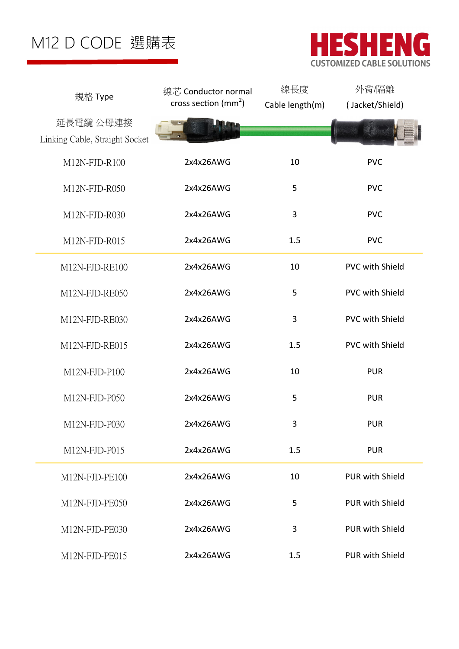

| 規格 Type                        | 線芯 Conductor normal              | 線長度             | 外背隔離                   |
|--------------------------------|----------------------------------|-----------------|------------------------|
|                                | cross section (mm <sup>2</sup> ) | Cable length(m) | (Jacket/Shield)        |
| 延長電纜 公母連接                      |                                  |                 |                        |
| Linking Cable, Straight Socket |                                  |                 |                        |
| M12N-FJD-R100                  | 2x4x26AWG                        | 10              | <b>PVC</b>             |
|                                |                                  |                 |                        |
| M12N-FJD-R050                  | 2x4x26AWG                        | 5               | <b>PVC</b>             |
| M12N-FJD-R030                  | 2x4x26AWG                        | $\mathbf{3}$    | <b>PVC</b>             |
| M12N-FJD-R015                  | 2x4x26AWG                        | 1.5             | <b>PVC</b>             |
| M12N-FJD-RE100                 | 2x4x26AWG                        | 10              | <b>PVC with Shield</b> |
| M12N-FJD-RE050                 | 2x4x26AWG                        | 5               | <b>PVC with Shield</b> |
| M12N-FJD-RE030                 | 2x4x26AWG                        | 3               | <b>PVC with Shield</b> |
| M12N-FJD-RE015                 | 2x4x26AWG                        | 1.5             | <b>PVC with Shield</b> |
| M12N-FJD-P100                  | 2x4x26AWG                        | 10              | <b>PUR</b>             |
| M12N-FJD-P050                  | 2x4x26AWG                        | 5               | <b>PUR</b>             |
| M12N-FJD-P030                  | 2x4x26AWG                        | 3               | <b>PUR</b>             |
| M12N-FJD-P015                  | 2x4x26AWG                        | 1.5             | <b>PUR</b>             |
| M12N-FJD-PE100                 | 2x4x26AWG                        | 10              | <b>PUR with Shield</b> |
| M12N-FJD-PE050                 | 2x4x26AWG                        | 5               | <b>PUR with Shield</b> |
| M12N-FJD-PE030                 | 2x4x26AWG                        | 3               | <b>PUR with Shield</b> |
| M12N-FJD-PE015                 | 2x4x26AWG                        | 1.5             | <b>PUR with Shield</b> |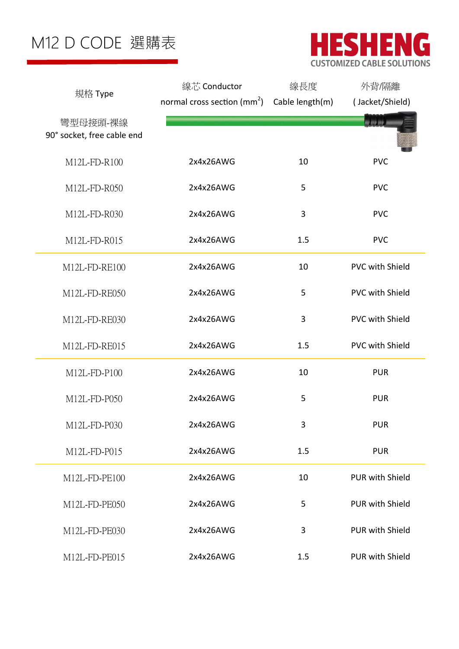

|                                        | 線芯 Conductor                                     | 線長度 | 外背/隔離                  |  |
|----------------------------------------|--------------------------------------------------|-----|------------------------|--|
| 規格 Type                                | normal cross section $(mm^2)$ Cable length $(m)$ |     | (Jacket/Shield)        |  |
| 彎型母接頭-裸線<br>90° socket, free cable end |                                                  |     | <b>图 铜 图</b>           |  |
| M12L-FD-R100                           | 2x4x26AWG                                        | 10  | <b>PVC</b>             |  |
| M12L-FD-R050                           | 2x4x26AWG                                        | 5   | <b>PVC</b>             |  |
| M12L-FD-R030                           | 2x4x26AWG                                        | 3   | <b>PVC</b>             |  |
| M12L-FD-R015                           | 2x4x26AWG                                        | 1.5 | <b>PVC</b>             |  |
| M12L-FD-RE100                          | 2x4x26AWG                                        | 10  | <b>PVC with Shield</b> |  |
| M12L-FD-RE050                          | 2x4x26AWG                                        | 5   | <b>PVC with Shield</b> |  |
| M12L-FD-RE030                          | 2x4x26AWG                                        | 3   | <b>PVC with Shield</b> |  |
| M12L-FD-RE015                          | 2x4x26AWG                                        | 1.5 | <b>PVC with Shield</b> |  |
| M12L-FD-P100                           | 2x4x26AWG                                        | 10  | <b>PUR</b>             |  |
| M12L-FD-P050                           | 2x4x26AWG                                        | 5   | <b>PUR</b>             |  |
| M12L-FD-P030                           | 2x4x26AWG                                        | 3   | <b>PUR</b>             |  |
| M12L-FD-P015                           | 2x4x26AWG                                        | 1.5 | <b>PUR</b>             |  |
| M12L-FD-PE100                          | 2x4x26AWG                                        | 10  | PUR with Shield        |  |
| M12L-FD-PE050                          | 2x4x26AWG                                        | 5   | <b>PUR with Shield</b> |  |
| M12L-FD-PE030                          | 2x4x26AWG                                        | 3   | <b>PUR with Shield</b> |  |
| M12L-FD-PE015                          | 2x4x26AWG                                        | 1.5 | <b>PUR with Shield</b> |  |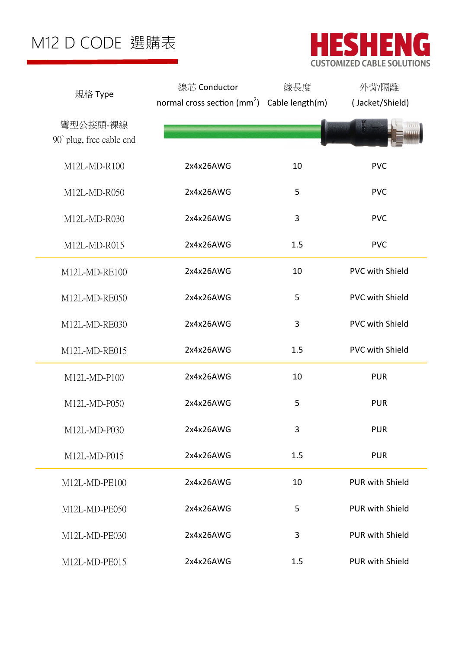

|                                      | 線芯 Conductor                                     | 線長度 | 外背/隔離                  |
|--------------------------------------|--------------------------------------------------|-----|------------------------|
| 規格 Type                              | normal cross section $(mm^2)$ Cable length $(m)$ |     | (Jacket/Shield)        |
| 彎型公接頭-裸線<br>90° plug, free cable end |                                                  |     |                        |
| M12L-MD-R100                         | 2x4x26AWG                                        | 10  | <b>PVC</b>             |
| M12L-MD-R050                         | 2x4x26AWG                                        | 5   | <b>PVC</b>             |
| M12L-MD-R030                         | 2x4x26AWG                                        | 3   | <b>PVC</b>             |
| M12L-MD-R015                         | 2x4x26AWG                                        | 1.5 | <b>PVC</b>             |
| M12L-MD-RE100                        | 2x4x26AWG                                        | 10  | <b>PVC with Shield</b> |
| M12L-MD-RE050                        | 2x4x26AWG                                        | 5   | <b>PVC with Shield</b> |
| M12L-MD-RE030                        | 2x4x26AWG                                        | 3   | <b>PVC with Shield</b> |
| M12L-MD-RE015                        | 2x4x26AWG                                        | 1.5 | <b>PVC with Shield</b> |
| M12L-MD-P100                         | 2x4x26AWG                                        | 10  | <b>PUR</b>             |
| M12L-MD-P050                         | 2x4x26AWG                                        | 5   | <b>PUR</b>             |
| M12L-MD-P030                         | 2x4x26AWG                                        | 3   | <b>PUR</b>             |
| M12L-MD-P015                         | 2x4x26AWG                                        | 1.5 | <b>PUR</b>             |
| M12L-MD-PE100                        | 2x4x26AWG                                        | 10  | <b>PUR with Shield</b> |
| M12L-MD-PE050                        | 2x4x26AWG                                        | 5   | <b>PUR with Shield</b> |
| M12L-MD-PE030                        | 2x4x26AWG                                        | 3   | <b>PUR with Shield</b> |
| M12L-MD-PE015                        | 2x4x26AWG                                        | 1.5 | PUR with Shield        |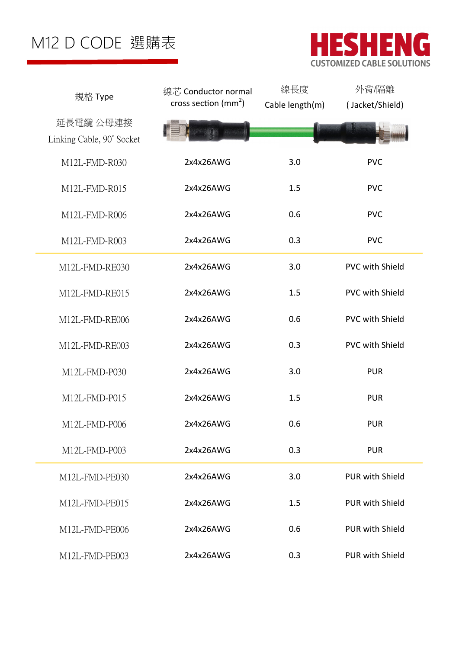

| 規格 Type                                | 線芯 Conductor normal<br>cross section (mm <sup>2</sup> ) | 線長度<br>Cable length(m) | 外背/隔離<br>(Jacket/Shield) |  |
|----------------------------------------|---------------------------------------------------------|------------------------|--------------------------|--|
| 延長電纜 公母連接<br>Linking Cable, 90° Socket |                                                         |                        |                          |  |
| M12L-FMD-R030                          | 2x4x26AWG                                               | 3.0                    | <b>PVC</b>               |  |
| M12L-FMD-R015                          | 2x4x26AWG                                               | 1.5                    | <b>PVC</b>               |  |
| M12L-FMD-R006                          | 2x4x26AWG                                               | 0.6                    | <b>PVC</b>               |  |
| M12L-FMD-R003                          | 2x4x26AWG                                               | 0.3                    | <b>PVC</b>               |  |
| M12L-FMD-RE030                         | 2x4x26AWG                                               | 3.0                    | <b>PVC with Shield</b>   |  |
| M12L-FMD-RE015                         | 2x4x26AWG                                               | 1.5                    | <b>PVC with Shield</b>   |  |
| M12L-FMD-RE006                         | 2x4x26AWG                                               | 0.6                    | <b>PVC with Shield</b>   |  |
| M12L-FMD-RE003                         | 2x4x26AWG                                               | 0.3                    | <b>PVC with Shield</b>   |  |
| M12L-FMD-P030                          | 2x4x26AWG                                               | 3.0                    | <b>PUR</b>               |  |
| M12L-FMD-P015                          | 2x4x26AWG                                               | 1.5                    | <b>PUR</b>               |  |
| M12L-FMD-P006                          | 2x4x26AWG                                               | 0.6                    | <b>PUR</b>               |  |
| M12L-FMD-P003                          | 2x4x26AWG                                               | 0.3                    | <b>PUR</b>               |  |
| M12L-FMD-PE030                         | 2x4x26AWG                                               | 3.0                    | <b>PUR with Shield</b>   |  |
| M12L-FMD-PE015                         | 2x4x26AWG                                               | 1.5                    | <b>PUR with Shield</b>   |  |
| M12L-FMD-PE006                         | 2x4x26AWG                                               | 0.6                    | <b>PUR with Shield</b>   |  |
| M12L-FMD-PE003                         | 2x4x26AWG                                               | 0.3                    | <b>PUR with Shield</b>   |  |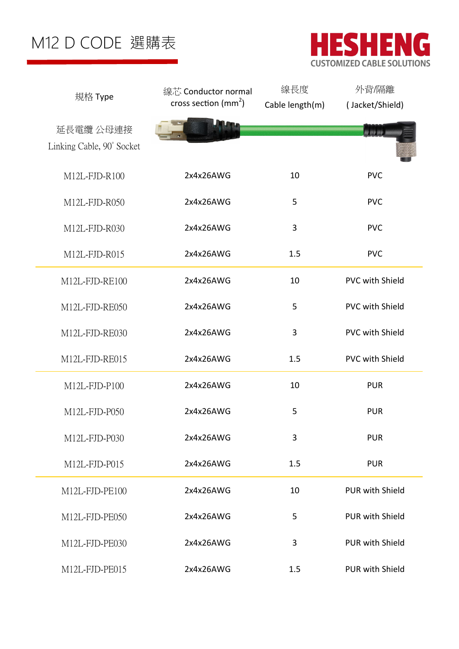

| 規格 Type                   | 線芯 Conductor normal           | 線長度             | 外背/隔離                  |
|---------------------------|-------------------------------|-----------------|------------------------|
|                           | cross section $\text{(mm}^2)$ | Cable length(m) | (Jacket/Shield)        |
| 延長電纜 公母連接                 |                               |                 | <b>By Bill Bill</b>    |
| Linking Cable, 90° Socket |                               |                 |                        |
| M12L-FJD-R100             | 2x4x26AWG                     | 10              | <b>PVC</b>             |
| M12L-FJD-R050             | 2x4x26AWG                     | 5               | <b>PVC</b>             |
| M12L-FJD-R030             | 2x4x26AWG                     | 3               | <b>PVC</b>             |
| M12L-FJD-R015             | 2x4x26AWG                     | 1.5             | <b>PVC</b>             |
| M12L-FJD-RE100            | 2x4x26AWG                     | 10              | <b>PVC with Shield</b> |
| M12L-FJD-RE050            | 2x4x26AWG                     | 5               | <b>PVC with Shield</b> |
| M12L-FJD-RE030            | 2x4x26AWG                     | 3               | <b>PVC with Shield</b> |
| M12L-FJD-RE015            | 2x4x26AWG                     | 1.5             | <b>PVC with Shield</b> |
| M12L-FJD-P100             | 2x4x26AWG                     | 10              | <b>PUR</b>             |
| M12L-FJD-P050             | 2x4x26AWG                     | 5               | <b>PUR</b>             |
| M12L-FJD-P030             | 2x4x26AWG                     | 3               | <b>PUR</b>             |
| M12L-FJD-P015             | 2x4x26AWG                     | 1.5             | <b>PUR</b>             |
| M12L-FJD-PE100            | 2x4x26AWG                     | 10              | <b>PUR with Shield</b> |
| M12L-FJD-PE050            | 2x4x26AWG                     | 5               | <b>PUR with Shield</b> |
| M12L-FJD-PE030            | 2x4x26AWG                     | 3               | <b>PUR with Shield</b> |
| M12L-FJD-PE015            | 2x4x26AWG                     | 1.5             | <b>PUR with Shield</b> |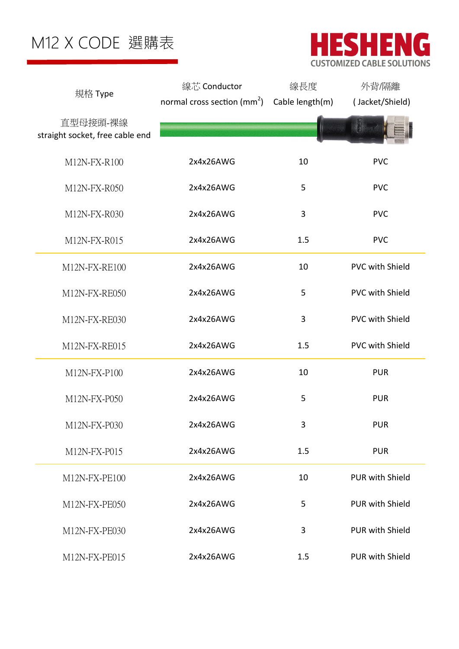



|                                             | 線芯 Conductor                   | 線長度             | 外背/隔離                  |
|---------------------------------------------|--------------------------------|-----------------|------------------------|
| 規格 Type                                     | normal cross section ( $mm2$ ) | Cable length(m) | (Jacket/Shield)        |
| 直型母接頭-裸線<br>straight socket, free cable end |                                |                 |                        |
| M12N-FX-R100                                | 2x4x26AWG                      | 10              | <b>PVC</b>             |
| M12N-FX-R050                                | 2x4x26AWG                      | 5               | <b>PVC</b>             |
| M12N-FX-R030                                | 2x4x26AWG                      | 3               | <b>PVC</b>             |
| M12N-FX-R015                                | 2x4x26AWG                      | 1.5             | <b>PVC</b>             |
| M12N-FX-RE100                               | 2x4x26AWG                      | 10              | PVC with Shield        |
| M12N-FX-RE050                               | 2x4x26AWG                      | 5               | <b>PVC with Shield</b> |
| M12N-FX-RE030                               | 2x4x26AWG                      | 3               | <b>PVC with Shield</b> |
| M12N-FX-RE015                               | 2x4x26AWG                      | 1.5             | PVC with Shield        |
| M12N-FX-P100                                | 2x4x26AWG                      | 10              | <b>PUR</b>             |
| M12N-FX-P050                                | 2x4x26AWG                      | 5               | <b>PUR</b>             |
| M12N-FX-P030                                | 2x4x26AWG                      | 3               | <b>PUR</b>             |
| M12N-FX-P015                                | 2x4x26AWG                      | 1.5             | <b>PUR</b>             |
| M12N-FX-PE100                               | 2x4x26AWG                      | 10              | PUR with Shield        |
| M12N-FX-PE050                               | 2x4x26AWG                      | 5               | <b>PUR with Shield</b> |
| M12N-FX-PE030                               | 2x4x26AWG                      | 3               | <b>PUR with Shield</b> |
| M12N-FX-PE015                               | 2x4x26AWG                      | 1.5             | PUR with Shield        |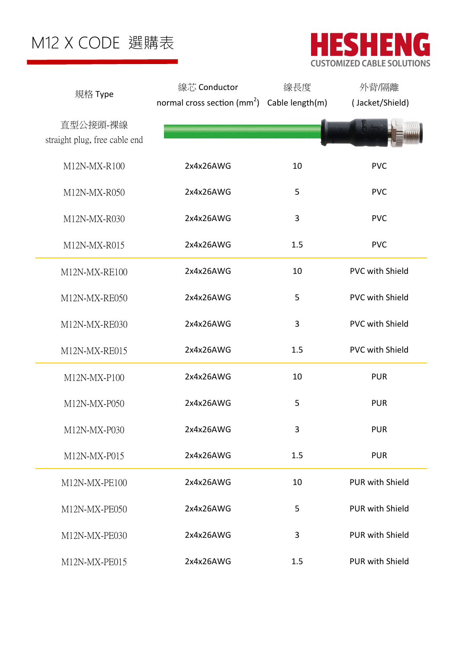

|                               | 線芯 Conductor                                            | 線長度 | 外背/隔離                  |
|-------------------------------|---------------------------------------------------------|-----|------------------------|
| 規格 Type                       | normal cross section (mm <sup>2</sup> ) Cable length(m) |     | (Jacket/Shield)        |
| 直型公接頭-裸線                      |                                                         |     |                        |
| straight plug, free cable end |                                                         |     |                        |
|                               |                                                         |     |                        |
| M12N-MX-R100                  | 2x4x26AWG                                               | 10  | <b>PVC</b>             |
| M12N-MX-R050                  | 2x4x26AWG                                               | 5   | <b>PVC</b>             |
| M12N-MX-R030                  | 2x4x26AWG                                               | 3   | <b>PVC</b>             |
| M12N-MX-R015                  | 2x4x26AWG                                               | 1.5 | <b>PVC</b>             |
| M12N-MX-RE100                 | 2x4x26AWG                                               | 10  | <b>PVC with Shield</b> |
| M12N-MX-RE050                 | 2x4x26AWG                                               | 5   | <b>PVC with Shield</b> |
| M12N-MX-RE030                 | 2x4x26AWG                                               | 3   | <b>PVC with Shield</b> |
| M12N-MX-RE015                 | 2x4x26AWG                                               | 1.5 | <b>PVC with Shield</b> |
| M12N-MX-P100                  | 2x4x26AWG                                               | 10  | <b>PUR</b>             |
| M12N-MX-P050                  | 2x4x26AWG                                               | 5   | <b>PUR</b>             |
| M12N-MX-P030                  | 2x4x26AWG                                               | 3   | <b>PUR</b>             |
| M12N-MX-P015                  | 2x4x26AWG                                               | 1.5 | <b>PUR</b>             |
| M12N-MX-PE100                 | 2x4x26AWG                                               | 10  | <b>PUR with Shield</b> |
| M12N-MX-PE050                 | 2x4x26AWG                                               | 5   | <b>PUR with Shield</b> |
| M12N-MX-PE030                 | 2x4x26AWG                                               | 3   | <b>PUR with Shield</b> |
| M12N-MX-PE015                 | 2x4x26AWG                                               | 1.5 | PUR with Shield        |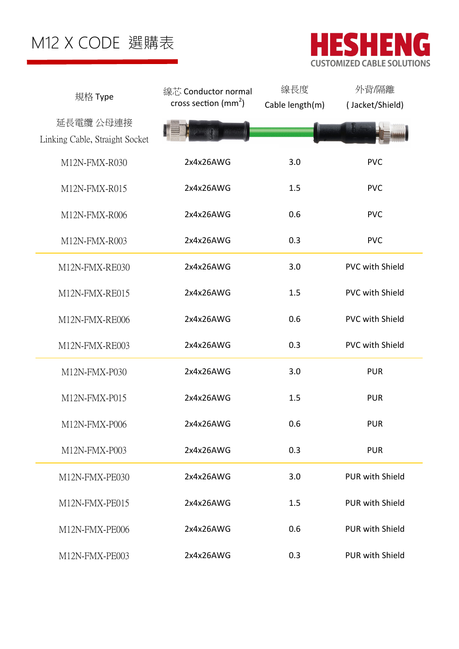

| 規格 Type                                     | 線芯 Conductor normal<br>cross section $\text{mm}^2$ ) | 線長度<br>Cable length(m) | 外背/隔離<br>(Jacket/Shield) |
|---------------------------------------------|------------------------------------------------------|------------------------|--------------------------|
| 延長電纜 公母連接<br>Linking Cable, Straight Socket |                                                      |                        |                          |
| M12N-FMX-R030                               | 2x4x26AWG                                            | 3.0                    | <b>PVC</b>               |
| M12N-FMX-R015                               | 2x4x26AWG                                            | 1.5                    | <b>PVC</b>               |
| M12N-FMX-R006                               | 2x4x26AWG                                            | 0.6                    | <b>PVC</b>               |
| M12N-FMX-R003                               | 2x4x26AWG                                            | 0.3                    | <b>PVC</b>               |
| M12N-FMX-RE030                              | 2x4x26AWG                                            | 3.0                    | <b>PVC with Shield</b>   |
| M12N-FMX-RE015                              | 2x4x26AWG                                            | 1.5                    | <b>PVC with Shield</b>   |
| M12N-FMX-RE006                              | 2x4x26AWG                                            | 0.6                    | <b>PVC with Shield</b>   |
| M12N-FMX-RE003                              | 2x4x26AWG                                            | 0.3                    | <b>PVC with Shield</b>   |
| M12N-FMX-P030                               | 2x4x26AWG                                            | 3.0                    | <b>PUR</b>               |
| M12N-FMX-P015                               | 2x4x26AWG                                            | 1.5                    | <b>PUR</b>               |
| M12N-FMX-P006                               | 2x4x26AWG                                            | 0.6                    | <b>PUR</b>               |
| M12N-FMX-P003                               | 2x4x26AWG                                            | 0.3                    | <b>PUR</b>               |
| M12N-FMX-PE030                              | 2x4x26AWG                                            | 3.0                    | <b>PUR with Shield</b>   |
| M12N-FMX-PE015                              | 2x4x26AWG                                            | 1.5                    | <b>PUR with Shield</b>   |
| M12N-FMX-PE006                              | 2x4x26AWG                                            | 0.6                    | <b>PUR with Shield</b>   |
| M12N-FMX-PE003                              | 2x4x26AWG                                            | 0.3                    | PUR with Shield          |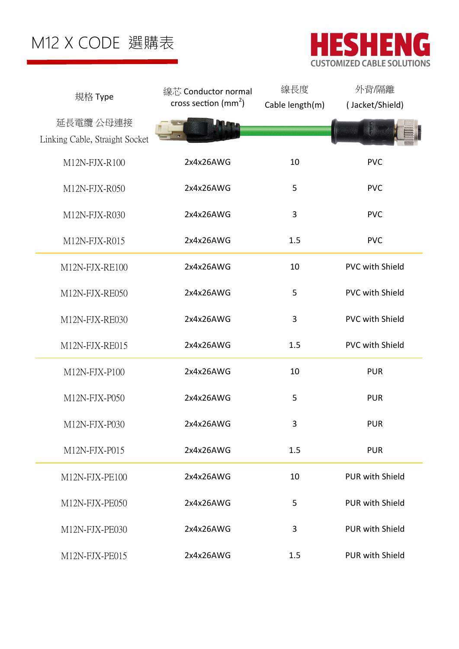



| 規格 Type                        | 線芯 Conductor normal              | 線長度             | 外背/隔離                  |
|--------------------------------|----------------------------------|-----------------|------------------------|
|                                | cross section (mm <sup>2</sup> ) | Cable length(m) | (Jacket/Shield)        |
| 延長電纜 公母連接                      |                                  |                 |                        |
| Linking Cable, Straight Socket |                                  |                 |                        |
| M12N-FJX-R100                  | 2x4x26AWG                        | 10              | <b>PVC</b>             |
| M12N-FJX-R050                  | 2x4x26AWG                        | 5               | <b>PVC</b>             |
| M12N-FJX-R030                  | 2x4x26AWG                        | 3               | <b>PVC</b>             |
| M12N-FJX-R015                  | 2x4x26AWG                        | 1.5             | <b>PVC</b>             |
| M12N-FJX-RE100                 | 2x4x26AWG                        | 10              | <b>PVC with Shield</b> |
| M12N-FJX-RE050                 | 2x4x26AWG                        | 5               | <b>PVC with Shield</b> |
| M12N-FJX-RE030                 | 2x4x26AWG                        | 3               | <b>PVC with Shield</b> |
| M12N-FJX-RE015                 | 2x4x26AWG                        | 1.5             | <b>PVC with Shield</b> |
| M12N-FJX-P100                  | 2x4x26AWG                        | 10              | <b>PUR</b>             |
| M12N-FJX-P050                  | 2x4x26AWG                        | 5               | <b>PUR</b>             |
| M12N-FJX-P030                  | 2x4x26AWG                        | 3               | <b>PUR</b>             |
| M12N-FJX-P015                  | 2x4x26AWG                        | 1.5             | <b>PUR</b>             |
| M12N-FJX-PE100                 | 2x4x26AWG                        | 10              | <b>PUR with Shield</b> |
| M12N-FJX-PE050                 | 2x4x26AWG                        | 5               | <b>PUR with Shield</b> |
| M12N-FJX-PE030                 | 2x4x26AWG                        | 3               | <b>PUR with Shield</b> |
| M12N-FJX-PE015                 | 2x4x26AWG                        | 1.5             | <b>PUR with Shield</b> |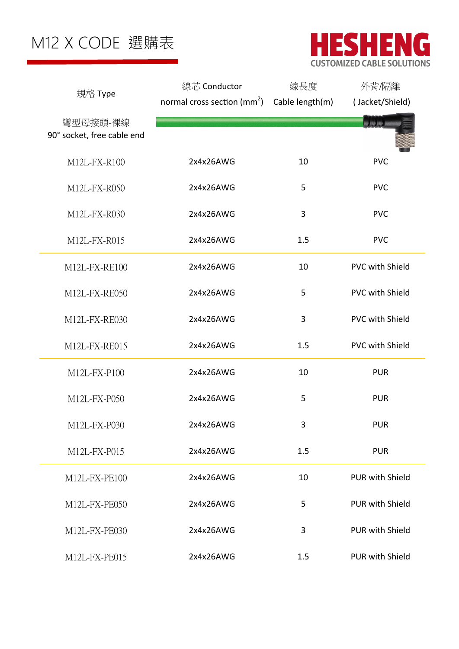



| 規格 Type                                | 線芯 Conductor                            | 線長度             | 外背/隔離                  |
|----------------------------------------|-----------------------------------------|-----------------|------------------------|
|                                        | normal cross section (mm <sup>2</sup> ) | Cable length(m) | (Jacket/Shield)        |
| 彎型母接頭-裸線<br>90° socket, free cable end |                                         |                 |                        |
| M12L-FX-R100                           | 2x4x26AWG                               | 10              | <b>PVC</b>             |
| M12L-FX-R050                           | 2x4x26AWG                               | 5               | <b>PVC</b>             |
| M12L-FX-R030                           | 2x4x26AWG                               | 3               | <b>PVC</b>             |
| M12L-FX-R015                           | 2x4x26AWG                               | 1.5             | <b>PVC</b>             |
| M12L-FX-RE100                          | 2x4x26AWG                               | 10              | <b>PVC with Shield</b> |
| M12L-FX-RE050                          | 2x4x26AWG                               | 5               | <b>PVC with Shield</b> |
| M12L-FX-RE030                          | 2x4x26AWG                               | 3               | <b>PVC with Shield</b> |
| M12L-FX-RE015                          | 2x4x26AWG                               | 1.5             | <b>PVC with Shield</b> |
| M12L-FX-P100                           | 2x4x26AWG                               | 10              | <b>PUR</b>             |
| M12L-FX-P050                           | 2x4x26AWG                               | 5               | <b>PUR</b>             |
| M12L-FX-P030                           | 2x4x26AWG                               | 3               | <b>PUR</b>             |
| M12L-FX-P015                           | 2x4x26AWG                               | 1.5             | <b>PUR</b>             |
| M12L-FX-PE100                          | 2x4x26AWG                               | 10              | <b>PUR with Shield</b> |
| M12L-FX-PE050                          | 2x4x26AWG                               | 5               | <b>PUR with Shield</b> |
| M12L-FX-PE030                          | 2x4x26AWG                               | 3               | <b>PUR with Shield</b> |
| M12L-FX-PE015                          | 2x4x26AWG                               | 1.5             | <b>PUR with Shield</b> |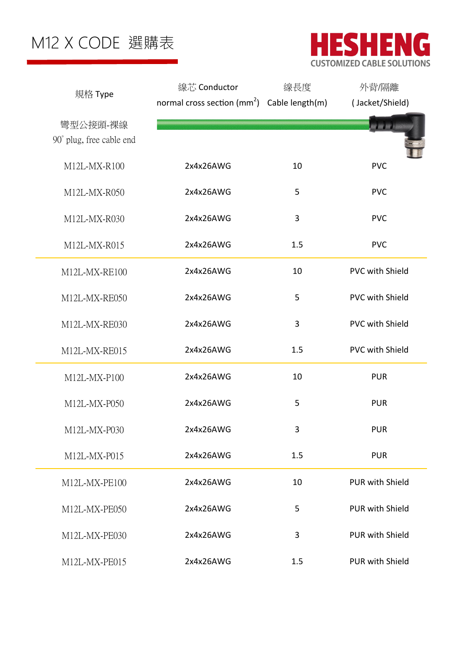

| 規格 Type                  | 線芯 Conductor                                     | 線長度 | 外背/隔離                  |
|--------------------------|--------------------------------------------------|-----|------------------------|
|                          | normal cross section $(mm^2)$ Cable length $(m)$ |     | (Jacket/Shield)        |
| 彎型公接頭-裸線                 |                                                  |     | w m n                  |
| 90° plug, free cable end |                                                  |     |                        |
|                          |                                                  |     |                        |
| M12L-MX-R100             | 2x4x26AWG                                        | 10  | <b>PVC</b>             |
| M12L-MX-R050             | 2x4x26AWG                                        | 5   | <b>PVC</b>             |
| M12L-MX-R030             | 2x4x26AWG                                        | 3   | <b>PVC</b>             |
| M12L-MX-R015             | 2x4x26AWG                                        | 1.5 | <b>PVC</b>             |
| M12L-MX-RE100            | 2x4x26AWG                                        | 10  | <b>PVC with Shield</b> |
| M12L-MX-RE050            | 2x4x26AWG                                        | 5   | <b>PVC with Shield</b> |
| M12L-MX-RE030            | 2x4x26AWG                                        | 3   | <b>PVC with Shield</b> |
| M12L-MX-RE015            | 2x4x26AWG                                        | 1.5 | <b>PVC with Shield</b> |
| M12L-MX-P100             | 2x4x26AWG                                        | 10  | <b>PUR</b>             |
| M12L-MX-P050             | 2x4x26AWG                                        | 5   | <b>PUR</b>             |
| M12L-MX-P030             | 2x4x26AWG                                        | 3   | <b>PUR</b>             |
| M12L-MX-P015             | 2x4x26AWG                                        | 1.5 | <b>PUR</b>             |
| M12L-MX-PE100            | 2x4x26AWG                                        | 10  | <b>PUR with Shield</b> |
| M12L-MX-PE050            | 2x4x26AWG                                        | 5   | <b>PUR with Shield</b> |
| M12L-MX-PE030            | 2x4x26AWG                                        | 3   | PUR with Shield        |
| M12L-MX-PE015            | 2x4x26AWG                                        | 1.5 | PUR with Shield        |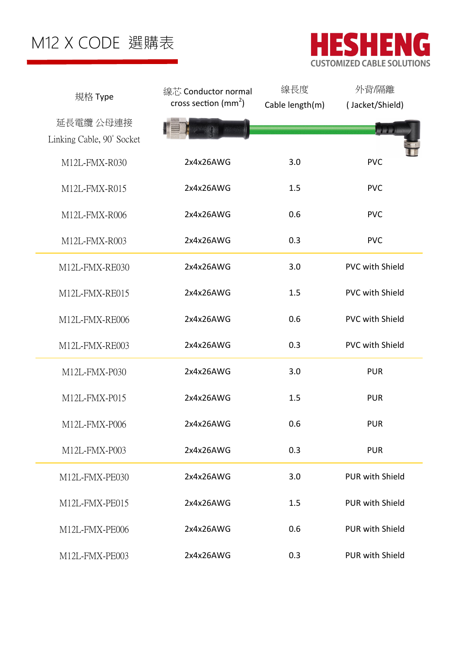

| 規格 Type                   | 線芯 Conductor normal              | 線長度             | 外背/隔離                  |
|---------------------------|----------------------------------|-----------------|------------------------|
|                           | cross section (mm <sup>2</sup> ) | Cable length(m) | (Jacket/Shield)        |
| 延長電纜 公母連接                 |                                  |                 | 圖圖圖                    |
| Linking Cable, 90° Socket |                                  |                 |                        |
| M12L-FMX-R030             | 2x4x26AWG                        | 3.0             | <b>PVC</b>             |
| M12L-FMX-R015             | 2x4x26AWG                        | 1.5             | <b>PVC</b>             |
| M12L-FMX-R006             | 2x4x26AWG                        | 0.6             | <b>PVC</b>             |
| M12L-FMX-R003             | 2x4x26AWG                        | 0.3             | <b>PVC</b>             |
| M12L-FMX-RE030            | 2x4x26AWG                        | 3.0             | <b>PVC with Shield</b> |
| M12L-FMX-RE015            | 2x4x26AWG                        | 1.5             | <b>PVC with Shield</b> |
| M12L-FMX-RE006            | 2x4x26AWG                        | 0.6             | <b>PVC with Shield</b> |
| M12L-FMX-RE003            | 2x4x26AWG                        | 0.3             | <b>PVC with Shield</b> |
| M12L-FMX-P030             | 2x4x26AWG                        | 3.0             | <b>PUR</b>             |
| M12L-FMX-P015             | 2x4x26AWG                        | 1.5             | <b>PUR</b>             |
| M12L-FMX-P006             | 2x4x26AWG                        | 0.6             | <b>PUR</b>             |
| M12L-FMX-P003             | 2x4x26AWG                        | 0.3             | <b>PUR</b>             |
| M12L-FMX-PE030            | 2x4x26AWG                        | 3.0             | <b>PUR with Shield</b> |
| M12L-FMX-PE015            | 2x4x26AWG                        | 1.5             | <b>PUR with Shield</b> |
| M12L-FMX-PE006            | 2x4x26AWG                        | 0.6             | <b>PUR with Shield</b> |
| M12L-FMX-PE003            | 2x4x26AWG                        | 0.3             | <b>PUR with Shield</b> |